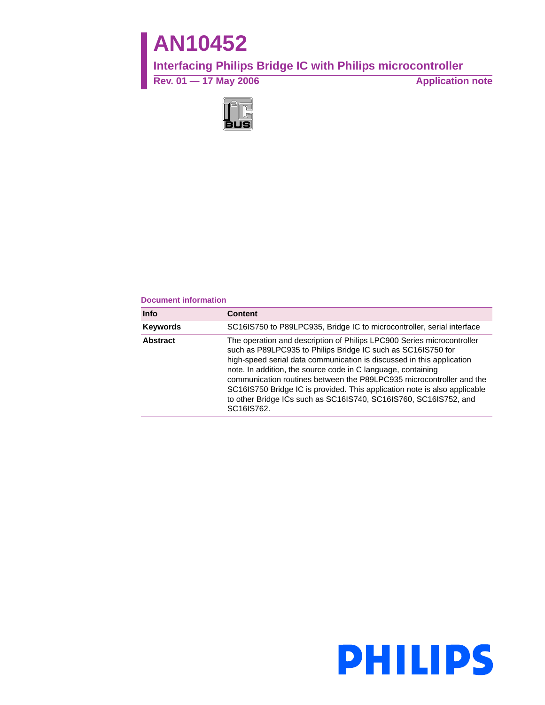# **AN10452**

# **Interfacing Philips Bridge IC with Philips microcontroller**

Rev. 01 — 17 May 2006 **Application note** 



#### **Document information**

| <b>Info</b>     | <b>Content</b>                                                                                                                                                                                                                                                                                                                                                                                                                                                                                                         |
|-----------------|------------------------------------------------------------------------------------------------------------------------------------------------------------------------------------------------------------------------------------------------------------------------------------------------------------------------------------------------------------------------------------------------------------------------------------------------------------------------------------------------------------------------|
| <b>Keywords</b> | SC16IS750 to P89LPC935, Bridge IC to microcontroller, serial interface                                                                                                                                                                                                                                                                                                                                                                                                                                                 |
| <b>Abstract</b> | The operation and description of Philips LPC900 Series microcontroller<br>such as P89LPC935 to Philips Bridge IC such as SC16IS750 for<br>high-speed serial data communication is discussed in this application<br>note. In addition, the source code in C language, containing<br>communication routines between the P89LPC935 microcontroller and the<br>SC16IS750 Bridge IC is provided. This application note is also applicable<br>to other Bridge ICs such as SC16IS740, SC16IS760, SC16IS752, and<br>SC16IS762. |

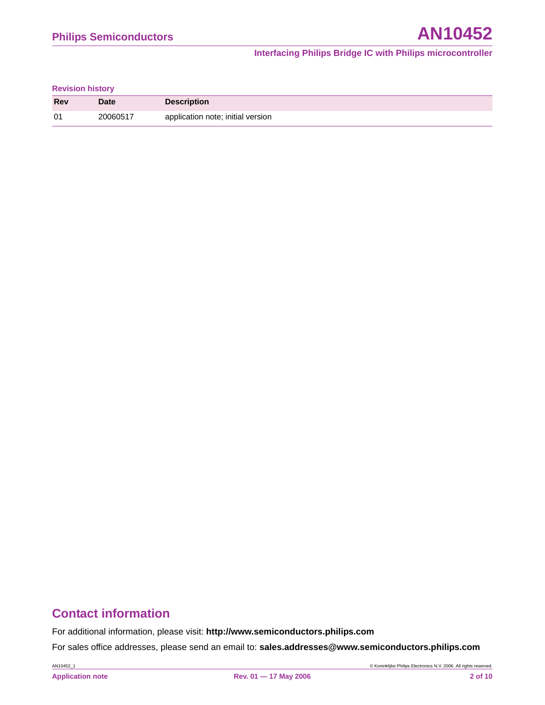#### **Revision history**

| <b>Rev</b> | <b>Date</b> | <b>Description</b>                |
|------------|-------------|-----------------------------------|
| 01         | 20060517    | application note; initial version |

# **Contact information**

For additional information, please visit: **http://www.semiconductors.philips.com**

For sales office addresses, please send an email to: **sales.addresses@www.semiconductors.philips.com**

AN10452\_1 © Koninklijke Philips Electronics N.V. 2006. All rights reserved.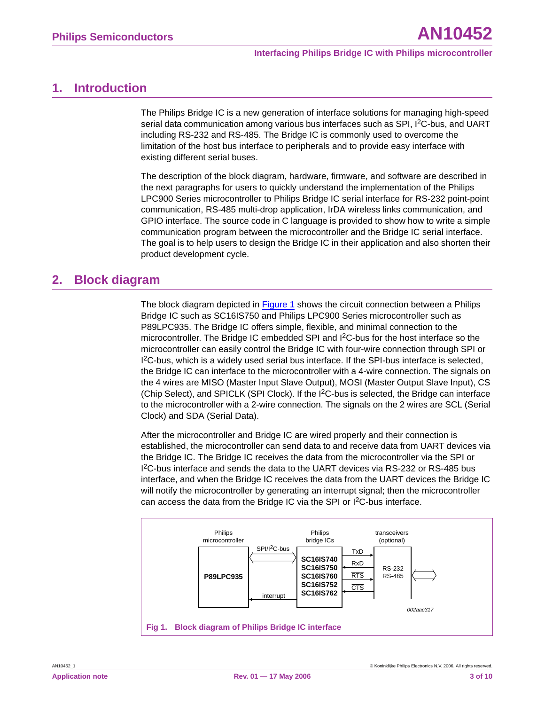### <span id="page-2-1"></span>**1. Introduction**

The Philips Bridge IC is a new generation of interface solutions for managing high-speed serial data communication among various bus interfaces such as SPI, I<sup>2</sup>C-bus, and UART including RS-232 and RS-485. The Bridge IC is commonly used to overcome the limitation of the host bus interface to peripherals and to provide easy interface with existing different serial buses.

The description of the block diagram, hardware, firmware, and software are described in the next paragraphs for users to quickly understand the implementation of the Philips LPC900 Series microcontroller to Philips Bridge IC serial interface for RS-232 point-point communication, RS-485 multi-drop application, IrDA wireless links communication, and GPIO interface. The source code in C language is provided to show how to write a simple communication program between the microcontroller and the Bridge IC serial interface. The goal is to help users to design the Bridge IC in their application and also shorten their product development cycle.

# <span id="page-2-2"></span>**2. Block diagram**

The block diagram depicted in [Figure 1](#page-2-0) shows the circuit connection between a Philips Bridge IC such as SC16IS750 and Philips LPC900 Series microcontroller such as P89LPC935. The Bridge IC offers simple, flexible, and minimal connection to the microcontroller. The Bridge IC embedded SPI and I2C-bus for the host interface so the microcontroller can easily control the Bridge IC with four-wire connection through SPI or 1<sup>2</sup>C-bus, which is a widely used serial bus interface. If the SPI-bus interface is selected, the Bridge IC can interface to the microcontroller with a 4-wire connection. The signals on the 4 wires are MISO (Master Input Slave Output), MOSI (Master Output Slave Input), CS (Chip Select), and SPICLK (SPI Clock). If the  $1<sup>2</sup>C$ -bus is selected, the Bridge can interface to the microcontroller with a 2-wire connection. The signals on the 2 wires are SCL (Serial Clock) and SDA (Serial Data).

After the microcontroller and Bridge IC are wired properly and their connection is established, the microcontroller can send data to and receive data from UART devices via the Bridge IC. The Bridge IC receives the data from the microcontroller via the SPI or I 2C-bus interface and sends the data to the UART devices via RS-232 or RS-485 bus interface, and when the Bridge IC receives the data from the UART devices the Bridge IC will notify the microcontroller by generating an interrupt signal; then the microcontroller can access the data from the Bridge IC via the SPI or I<sup>2</sup>C-bus interface.

<span id="page-2-0"></span>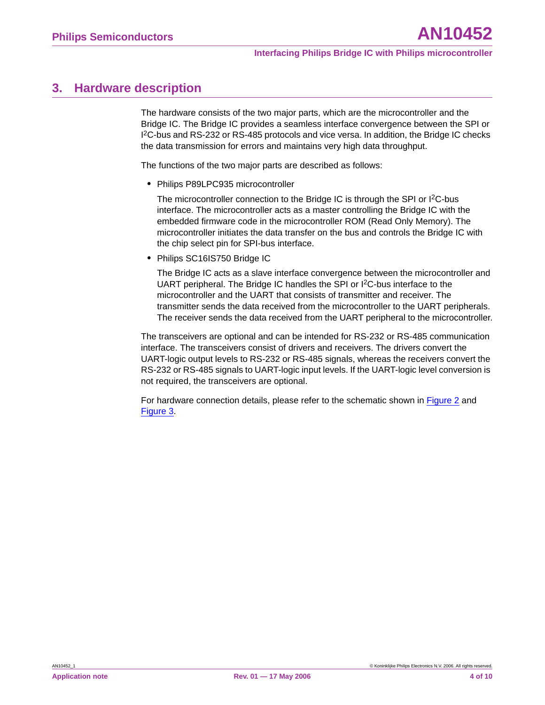### <span id="page-3-0"></span>**3. Hardware description**

The hardware consists of the two major parts, which are the microcontroller and the Bridge IC. The Bridge IC provides a seamless interface convergence between the SPI or I 2C-bus and RS-232 or RS-485 protocols and vice versa. In addition, the Bridge IC checks the data transmission for errors and maintains very high data throughput.

The functions of the two major parts are described as follows:

**•** Philips P89LPC935 microcontroller

The microcontroller connection to the Bridge IC is through the SPI or I<sup>2</sup>C-bus interface. The microcontroller acts as a master controlling the Bridge IC with the embedded firmware code in the microcontroller ROM (Read Only Memory). The microcontroller initiates the data transfer on the bus and controls the Bridge IC with the chip select pin for SPI-bus interface.

**•** Philips SC16IS750 Bridge IC

The Bridge IC acts as a slave interface convergence between the microcontroller and UART peripheral. The Bridge IC handles the SPI or I2C-bus interface to the microcontroller and the UART that consists of transmitter and receiver. The transmitter sends the data received from the microcontroller to the UART peripherals. The receiver sends the data received from the UART peripheral to the microcontroller.

The transceivers are optional and can be intended for RS-232 or RS-485 communication interface. The transceivers consist of drivers and receivers. The drivers convert the UART-logic output levels to RS-232 or RS-485 signals, whereas the receivers convert the RS-232 or RS-485 signals to UART-logic input levels. If the UART-logic level conversion is not required, the transceivers are optional.

For hardware connection details, please refer to the schematic shown in [Figure 2](#page-4-0) and [Figure 3](#page-5-0).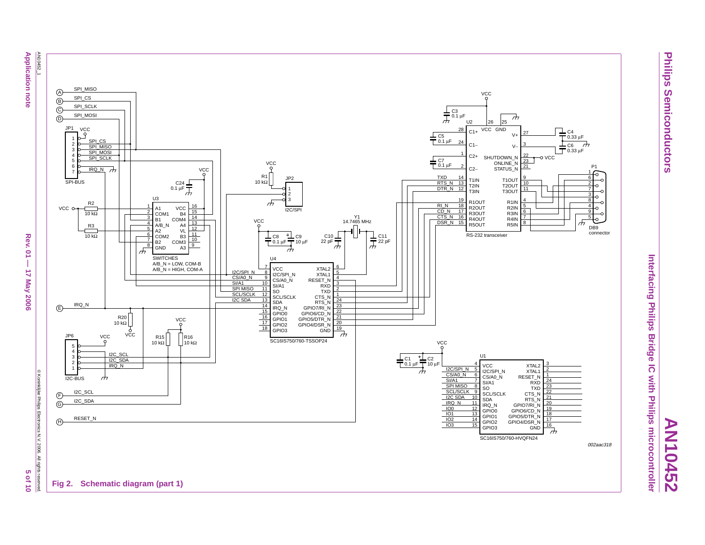

**Philips Semiconductors**

**Semiconductors** 

Philips

<span id="page-4-0"></span>**AN10452**

**Application note** 

Rev.  $01 -$ 17 May 2006

**Ch** 

**Of 10**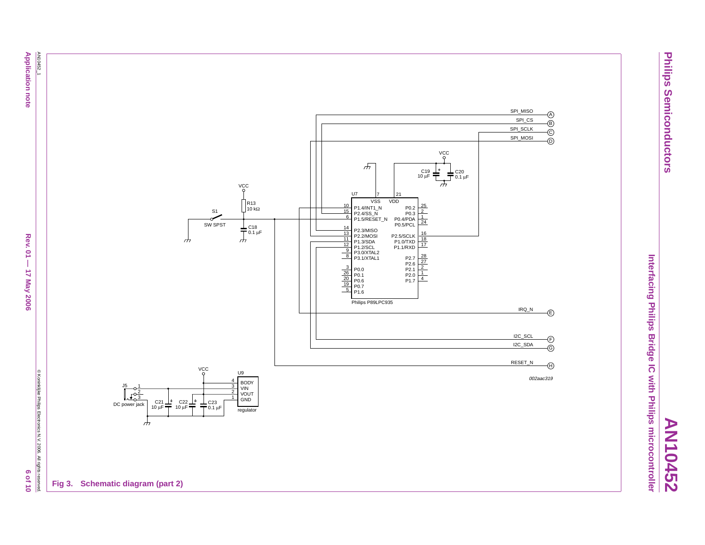**Application note** 

C Koninklijke Philips Electronics N.V. 2006. All rights reserved 0 L 10 9





**Philips Semiconductors Semiconductors** 

Philips

<span id="page-5-0"></span>**AN10452**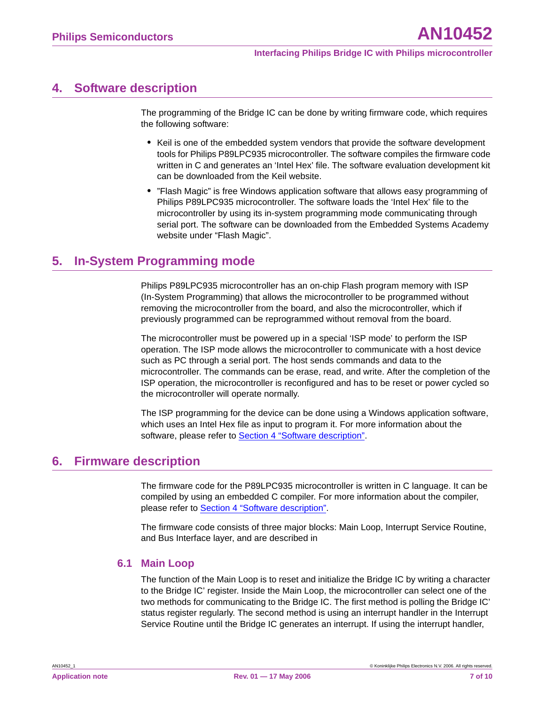### <span id="page-6-0"></span>**4. Software description**

The programming of the Bridge IC can be done by writing firmware code, which requires the following software:

- **•** Keil is one of the embedded system vendors that provide the software development tools for Philips P89LPC935 microcontroller. The software compiles the firmware code written in C and generates an 'Intel Hex' file. The software evaluation development kit can be downloaded from the Keil website.
- **•** "Flash Magic" is free Windows application software that allows easy programming of Philips P89LPC935 microcontroller. The software loads the 'Intel Hex' file to the microcontroller by using its in-system programming mode communicating through serial port. The software can be downloaded from the Embedded Systems Academy website under "Flash Magic".

# <span id="page-6-1"></span>**5. In-System Programming mode**

Philips P89LPC935 microcontroller has an on-chip Flash program memory with ISP (In-System Programming) that allows the microcontroller to be programmed without removing the microcontroller from the board, and also the microcontroller, which if previously programmed can be reprogrammed without removal from the board.

The microcontroller must be powered up in a special 'ISP mode' to perform the ISP operation. The ISP mode allows the microcontroller to communicate with a host device such as PC through a serial port. The host sends commands and data to the microcontroller. The commands can be erase, read, and write. After the completion of the ISP operation, the microcontroller is reconfigured and has to be reset or power cycled so the microcontroller will operate normally.

The ISP programming for the device can be done using a Windows application software, which uses an Intel Hex file as input to program it. For more information about the software, please refer to [Section 4 "Software description".](#page-6-0)

# <span id="page-6-2"></span>**6. Firmware description**

The firmware code for the P89LPC935 microcontroller is written in C language. It can be compiled by using an embedded C compiler. For more information about the compiler, please refer to [Section 4 "Software description".](#page-6-0)

The firmware code consists of three major blocks: Main Loop, Interrupt Service Routine, and Bus Interface layer, and are described in

#### <span id="page-6-3"></span>**6.1 Main Loop**

The function of the Main Loop is to reset and initialize the Bridge IC by writing a character to the Bridge IC' register. Inside the Main Loop, the microcontroller can select one of the two methods for communicating to the Bridge IC. The first method is polling the Bridge IC' status register regularly. The second method is using an interrupt handler in the Interrupt Service Routine until the Bridge IC generates an interrupt. If using the interrupt handler,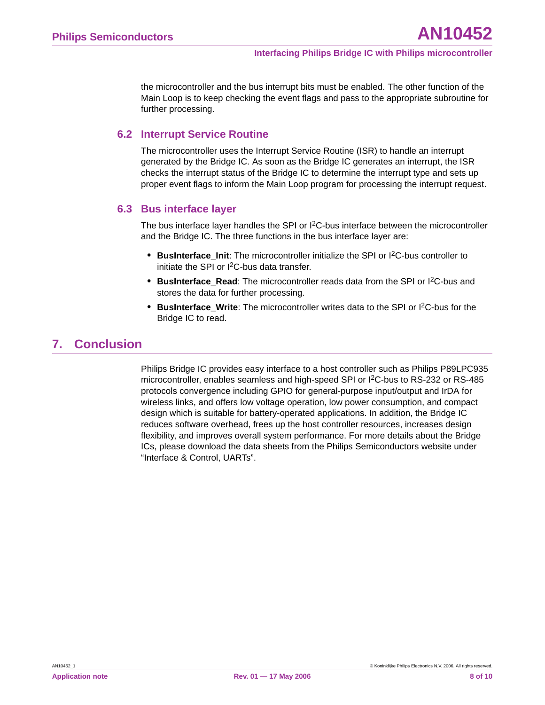the microcontroller and the bus interrupt bits must be enabled. The other function of the Main Loop is to keep checking the event flags and pass to the appropriate subroutine for further processing.

#### <span id="page-7-0"></span>**6.2 Interrupt Service Routine**

The microcontroller uses the Interrupt Service Routine (ISR) to handle an interrupt generated by the Bridge IC. As soon as the Bridge IC generates an interrupt, the ISR checks the interrupt status of the Bridge IC to determine the interrupt type and sets up proper event flags to inform the Main Loop program for processing the interrupt request.

#### <span id="page-7-1"></span>**6.3 Bus interface layer**

The bus interface layer handles the SPI or I<sup>2</sup>C-bus interface between the microcontroller and the Bridge IC. The three functions in the bus interface layer are:

- **BusInterface Init:** The microcontroller initialize the SPI or I<sup>2</sup>C-bus controller to initiate the SPI or I2C-bus data transfer.
- **BusInterface Read**: The microcontroller reads data from the SPI or I<sup>2</sup>C-bus and stores the data for further processing.
- **BusInterface Write**: The microcontroller writes data to the SPI or I<sup>2</sup>C-bus for the Bridge IC to read.

### <span id="page-7-2"></span>**7. Conclusion**

Philips Bridge IC provides easy interface to a host controller such as Philips P89LPC935 microcontroller, enables seamless and high-speed SPI or I2C-bus to RS-232 or RS-485 protocols convergence including GPIO for general-purpose input/output and IrDA for wireless links, and offers low voltage operation, low power consumption, and compact design which is suitable for battery-operated applications. In addition, the Bridge IC reduces software overhead, frees up the host controller resources, increases design flexibility, and improves overall system performance. For more details about the Bridge ICs, please download the data sheets from the Philips Semiconductors website under "Interface & Control, UARTs".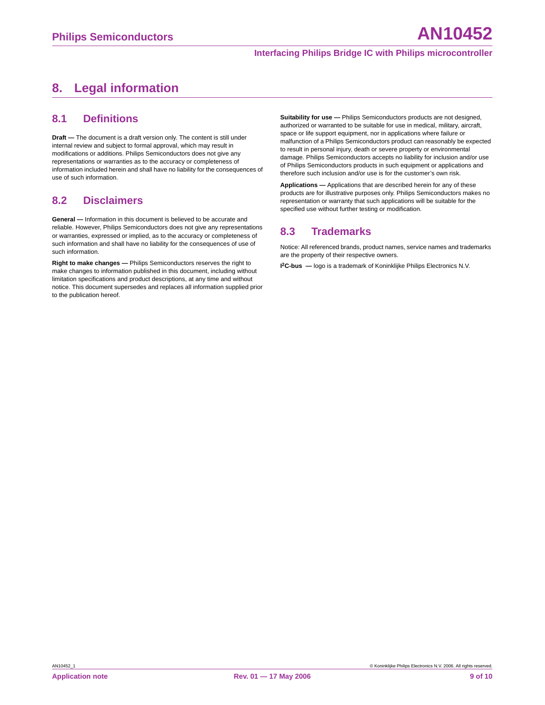# <span id="page-8-0"></span>**8. Legal information**

#### <span id="page-8-1"></span>**8.1 Definitions**

**Draft —** The document is a draft version only. The content is still under internal review and subject to formal approval, which may result in modifications or additions. Philips Semiconductors does not give any representations or warranties as to the accuracy or completeness of information included herein and shall have no liability for the consequences of use of such information.

### <span id="page-8-2"></span>**8.2 Disclaimers**

**General —** Information in this document is believed to be accurate and reliable. However, Philips Semiconductors does not give any representations or warranties, expressed or implied, as to the accuracy or completeness of such information and shall have no liability for the consequences of use of such information.

**Right to make changes —** Philips Semiconductors reserves the right to make changes to information published in this document, including without limitation specifications and product descriptions, at any time and without notice. This document supersedes and replaces all information supplied prior to the publication hereof.

**Suitability for use —** Philips Semiconductors products are not designed, authorized or warranted to be suitable for use in medical, military, aircraft, space or life support equipment, nor in applications where failure or malfunction of a Philips Semiconductors product can reasonably be expected to result in personal injury, death or severe property or environmental damage. Philips Semiconductors accepts no liability for inclusion and/or use of Philips Semiconductors products in such equipment or applications and therefore such inclusion and/or use is for the customer's own risk.

**Applications —** Applications that are described herein for any of these products are for illustrative purposes only. Philips Semiconductors makes no representation or warranty that such applications will be suitable for the specified use without further testing or modification.

### <span id="page-8-3"></span>**8.3 Trademarks**

Notice: All referenced brands, product names, service names and trademarks are the property of their respective owners.

**I 2C-bus —** logo is a trademark of Koninklijke Philips Electronics N.V.